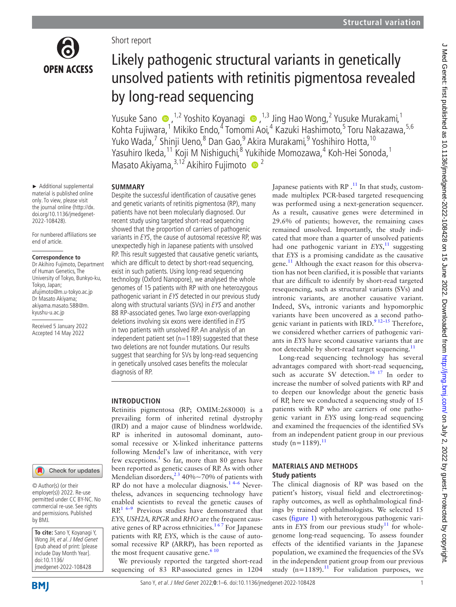

#### Short report

# Likely pathogenic structural variants in genetically unsolved patients with retinitis pigmentosa revealed by long-read sequencing

YusukeSano ●,<sup>1,2</sup> Yoshito Koyanagi ●,<sup>1,3</sup> Jing Hao Wong,<sup>2</sup> Yusuke Murakami,<sup>1</sup> Kohta Fujiwara,<sup>1</sup> Mikiko Endo,<sup>4</sup> Tomomi Aoi,<sup>4</sup> Kazuki Hashimoto,<sup>5</sup> Toru Nakazawa,<sup>5,6</sup> Yuko Wada,<sup>7</sup> Shinji Ueno,<sup>8</sup> Dan Gao,<sup>9</sup> Akira Murakami,<sup>9</sup> Yoshihiro Hotta, <sup>10</sup> Yasuhiro Ikeda,<sup>11</sup> Koji M Nishiguchi,<sup>8</sup> Yukihide Momozawa,<sup>4</sup> Koh-Hei Sonoda,<sup>1</sup> Masato Akiyama,<sup>3,12</sup> Akihiro Fujimoto <sup>2</sup>

#### **SUMMARY**

► Additional supplemental material is published online only. To view, please visit the journal online [\(http://dx.](http://dx.doi.org/10.1136/jmedgenet-2022-108428) [doi.org/10.1136/jmedgenet-](http://dx.doi.org/10.1136/jmedgenet-2022-108428)[2022-108428\)](http://dx.doi.org/10.1136/jmedgenet-2022-108428).

For numbered affiliations see end of article.

#### **Correspondence to**

Dr Akihiro Fujimoto, Department of Human Genetics, The University of Tokyo, Bunkyo-ku, Tokyo, Japan; afujimoto@m.u-tokyo.ac.jp Dr Masato Akiyama; akiyama.masato.588@m. kyushu-u.ac.jp

Received 5 January 2022 Accepted 14 May 2022

# Check for updates

© Author(s) (or their employer(s)) 2022. Re-use permitted under CC BY-NC. No commercial re-use. See rights and permissions. Published by BMJ.

**To cite:** Sano Y, Koyanagi Y, Wong JH, et al. J Med Genet Epub ahead of print: [please include Day Month Year]. doi:10.1136/ jmedgenet-2022-108428

Despite the successful identification of causative genes and genetic variants of retinitis pigmentosa (RP), many patients have not been molecularly diagnosed. Our recent study using targeted short-read sequencing showed that the proportion of carriers of pathogenic variants in EYS, the cause of autosomal recessive RP, was unexpectedly high in Japanese patients with unsolved RP. This result suggested that causative genetic variants, which are difficult to detect by short-read sequencing, exist in such patients. Using long-read sequencing technology (Oxford Nanopore), we analysed the whole genomes of 15 patients with RP with one heterozygous pathogenic variant in EYS detected in our previous study along with structural variants (SVs) in EYS and another 88 RP-associated genes. Two large exon-overlapping deletions involving six exons were identified in EYS in two patients with unsolved RP. An analysis of an independent patient set ( $n=1189$ ) suggested that these two deletions are not founder mutations. Our results suggest that searching for SVs by long-read sequencing in genetically unsolved cases benefits the molecular diagnosis of RP.

## **INTRODUCTION**

Retinitis pigmentosa (RP; OMIM:268000) is a prevailing form of inherited retinal dystrophy (IRD) and a major cause of blindness worldwide. RP is inherited in autosomal dominant, autosomal recessive or X-linked inheritance patterns following Mendel's law of inheritance, with very few exceptions.<sup>[1](#page-4-0)</sup> So far, more than 80 genes have been reported as genetic causes of RP. As with other Mendelian disorders,<sup>23</sup> 40%~70% of patients with  $RP$  do not have a molecular diagnosis.<sup>14–6</sup> Nevertheless, advances in sequencing technology have enabled scientists to reveal the genetic causes of  $RP<sup>16–9</sup>$  Previous studies have demonstrated that *EYS, USH2A, RPGR* and *RHO* are the frequent causative genes of RP across ethnicities.<sup>167</sup> For Japanese patients with RP, *EYS*, which is the cause of autosomal recessive RP (ARRP), has been reported as the most frequent causative gene. $610$ 

We previously reported the targeted short-read sequencing of 83 RP-associated genes in 1204

Japanese patients with  $RP$ .<sup>[11](#page-4-3)</sup> In that study, custommade multiplex PCR-based targeted resequencing was performed using a next-generation sequencer. As a result, causative genes were determined in 29.6% of patients; however, the remaining cases remained unsolved. Importantly, the study indicated that more than a quarter of unsolved patients had one pathogenic variant in *EYS*, [11](#page-4-3) suggesting that *EYS* is a promising candidate as the causative gene.<sup>11</sup> Although the exact reason for this observation has not been clarified, it is possible that variants that are difficult to identify by short-read targeted resequencing, such as structural variants (SVs) and intronic variants, are another causative variant. Indeed, SVs, intronic variants and hypomorphic variants have been uncovered as a second pathogenic variant in patients with IRD. $912-15$  Therefore, we considered whether carriers of pathogenic variants in *EYS* have second causative variants that are not detectable by short-read target sequencing. $^{11}$ 

Long-read sequencing technology has several advantages compared with short-read sequencing, such as accurate SV detection.<sup>16 17</sup> In order to increase the number of solved patients with RP and to deepen our knowledge about the genetic basis of RP, here we conducted a sequencing study of 15 patients with RP who are carriers of one pathogenic variant in *EYS* using long-read sequencing and examined the frequencies of the identified SVs from an independent patient group in our previous study (n=[11](#page-4-3)89).<sup>11</sup>

#### **MATERIALS AND METHODS Study patients**

The clinical diagnosis of RP was based on the patient's history, visual field and electroretinography outcomes, as well as ophthalmological findings by trained ophthalmologists. We selected 15 cases ([figure](#page-1-0) 1) with heterozygous pathogenic variants in *EYS* from our previous study<sup>11</sup> for wholegenome long-read sequencing. To assess founder effects of the identified variants in the Japanese population, we examined the frequencies of the SVs in the independent patient group from our previous study  $(n=1189)$  $(n=1189)$  $(n=1189)$ .<sup>11</sup> For validation purposes, we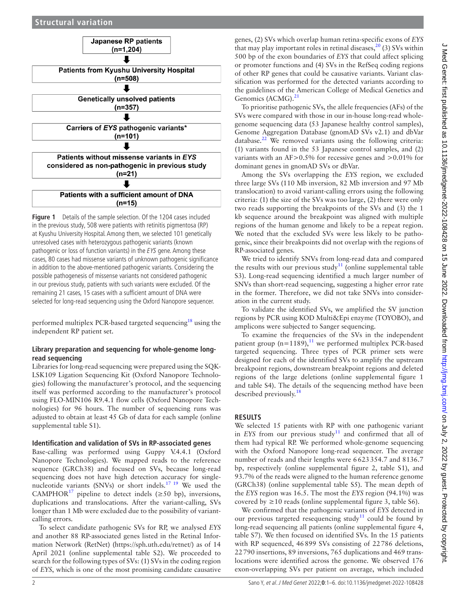

<span id="page-1-0"></span>**Figure 1** Details of the sample selection. Of the 1204 cases included in the previous study, 508 were patients with retinitis pigmentosa (RP) at Kyushu University Hospital. Among them, we selected 101 genetically unresolved cases with heterozygous pathogenic variants (known pathogenic or loss of function variants) in the EYS gene. Among these cases, 80 cases had missense variants of unknown pathogenic significance in addition to the above-mentioned pathogenic variants. Considering the possible pathogenesis of missense variants not considered pathogenic in our previous study, patients with such variants were excluded. Of the remaining 21 cases, 15 cases with a sufficient amount of DNA were selected for long-read sequencing using the Oxford Nanopore sequencer.

performed multiplex PCR-based targeted sequencing<sup>18</sup> using the independent RP patient set.

## **Library preparation and sequencing for whole-genome longread sequencing**

Libraries for long-read sequencing were prepared using the SQK-LSK109 Ligation Sequencing Kit (Oxford Nanopore Technologies) following the manufacturer's protocol, and the sequencing itself was performed according to the manufacturer's protocol using FLO-MIN106 R9.4.1 flow cells (Oxford Nanopore Technologies) for 96 hours. The number of sequencing runs was adjusted to obtain at least 45 Gb of data for each sample [\(online](https://dx.doi.org/10.1136/jmedgenet-2022-108428)  [supplemental table S1](https://dx.doi.org/10.1136/jmedgenet-2022-108428)).

## **Identification and validation of SVs in RP-associated genes**

Base-calling was performed using Guppy V.4.4.1 (Oxford Nanopore Technologies). We mapped reads to the reference sequence (GRCh38) and focused on SVs, because long-read sequencing does not have high detection accuracy for singlenucleotide variants (SNVs) or short indels.<sup>17 19</sup> We used the CAMPHOR<sup>[17](#page-5-2)</sup> pipeline to detect indels ( $\geq$ 50 bp), inversions, duplications and translocations. After the variant-calling, SVs longer than 1 Mb were excluded due to the possibility of variantcalling errors.

To select candidate pathogenic SVs for RP, we analysed *EYS* and another 88 RP-associated genes listed in the Retinal Information Network (RetNet) (<https://sph.uth.edu/retnet/>) as of 14 April 2021 [\(online supplemental table S2\)](https://dx.doi.org/10.1136/jmedgenet-2022-108428). We proceeded to search for the following types of SVs: (1) SVs in the coding region of *EYS*, which is one of the most promising candidate causative

genes, (2) SVs which overlap human retina-specific exons of *EYS* that may play important roles in retinal diseases,  $20$  (3) SVs within 500 bp of the exon boundaries of *EYS* that could affect splicing or promoter functions and (4) SVs in the RefSeq coding regions of other RP genes that could be causative variants. Variant classification was performed for the detected variants according to the guidelines of the American College of Medical Genetics and Genomics (ACMG).<sup>[21](#page-5-4)</sup>

To prioritise pathogenic SVs, the allele frequencies (AFs) of the SVs were compared with those in our in-house long-read wholegenome sequencing data (53 Japanese healthy control samples), Genome Aggregation Database (gnomAD SVs v2.1) and dbVar database[.22](#page-5-5) We removed variants using the following criteria: (1) variants found in the 53 Japanese control samples, and (2) variants with an  $AF>0.5\%$  for recessive genes and  $>0.01\%$  for dominant genes in gnomAD SVs or dbVar.

Among the SVs overlapping the *EYS* region, we excluded three large SVs (110 Mb inversion, 82 Mb inversion and 97 Mb translocation) to avoid variant-calling errors using the following criteria: (1) the size of the SVs was too large, (2) there were only two reads supporting the breakpoints of the SVs and (3) the 1 kb sequence around the breakpoint was aligned with multiple regions of the human genome and likely to be a repeat region. We noted that the excluded SVs were less likely to be pathogenic, since their breakpoints did not overlap with the regions of RP-associated genes.

We tried to identify SNVs from long-read data and compared the results with our previous study<sup>11</sup> ([online supplemental table](https://dx.doi.org/10.1136/jmedgenet-2022-108428) [S3](https://dx.doi.org/10.1136/jmedgenet-2022-108428)). Long-read sequencing identified a much larger number of SNVs than short-read sequencing, suggesting a higher error rate in the former. Therefore, we did not take SNVs into consideration in the current study.

To validate the identified SVs, we amplified the SV junction regions by PCR using KOD Multi&Epi enzyme (TOYOBO), and amplicons were subjected to Sanger sequencing.

To examine the frequencies of the SVs in the independent patient group ( $n=1189$  $n=1189$  $n=1189$ ),<sup>11</sup> we performed multiplex PCR-based targeted sequencing. Three types of PCR primer sets were designed for each of the identified SVs to amplify the upstream breakpoint regions, downstream breakpoint regions and deleted regions of the large deletions ([online supplemental figure 1](https://dx.doi.org/10.1136/jmedgenet-2022-108428) [and table S4](https://dx.doi.org/10.1136/jmedgenet-2022-108428)). The details of the sequencing method have been described previously.<sup>[18](#page-5-1)</sup>

# **RESULTS**

We selected 15 patients with RP with one pathogenic variant in *EYS* from our previous study<sup>[11](#page-4-3)</sup> and confirmed that all of them had typical RP. We performed whole-genome sequencing with the Oxford Nanopore long-read sequencer. The average number of reads and their lengths were 6623354.7 and 8136.7 bp, respectively [\(online supplemental figure 2, table S1](https://dx.doi.org/10.1136/jmedgenet-2022-108428)), and 93.7% of the reads were aligned to the human reference genome (GRCh38) ([online supplemental table S5\)](https://dx.doi.org/10.1136/jmedgenet-2022-108428). The mean depth of the *EYS* region was 16.5. The most the *EYS* region (94.1%) was covered by  $\geq$  10 reads ([online supplemental figure 3, table S6\)](https://dx.doi.org/10.1136/jmedgenet-2022-108428).

We confirmed that the pathogenic variants of *EYS* detected in our previous targeted resequencing study<sup>[11](#page-4-3)</sup> could be found by long-read sequencing all patients [\(online supplemental figure 4,](https://dx.doi.org/10.1136/jmedgenet-2022-108428) [table S7\)](https://dx.doi.org/10.1136/jmedgenet-2022-108428). We then focused on identified SVs. In the 15 patients with RP sequenced, 46899 SVs consisting of 22786 deletions, 22790 insertions, 89 inversions, 765 duplications and 469 translocations were identified across the genome. We observed 176 exon-overlapping SVs per patient on average, which included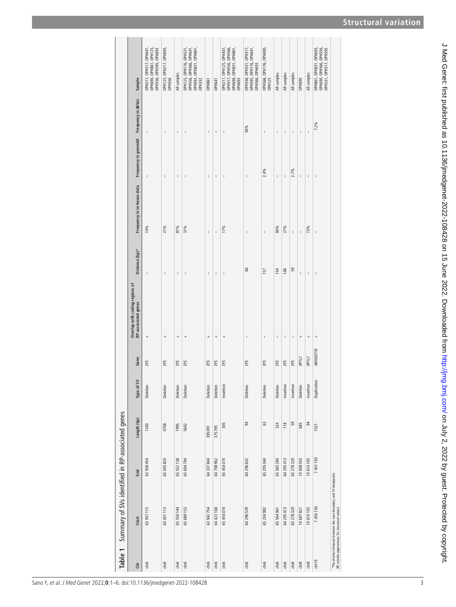| <b>Structural variation</b> |
|-----------------------------|
|                             |

<span id="page-2-0"></span>

| Table 1 | Summary of SVs identified in RP-associated genes                                                                         |            |             |             |                  |                                                       |                |                            |                                        |                |                                                                                               |
|---------|--------------------------------------------------------------------------------------------------------------------------|------------|-------------|-------------|------------------|-------------------------------------------------------|----------------|----------------------------|----------------------------------------|----------------|-----------------------------------------------------------------------------------------------|
| Ğ       | Start                                                                                                                    | <b>End</b> | Length (bp) | Type of SV  | Gene             | Overlap with coding regions of<br>RP-associated genes | Distance (bp)* | Frequency in in-house data | Frequency in gnomAD Frequency in dbVar |                | Sample                                                                                        |
| chr6    | 63 957 115                                                                                                               | 63 958 454 | 1340        | Deletion    | EYS              | $\ddot{}$                                             | $\mathbf{I}$   | 14%                        | $\overline{1}$                         | $\sf I$        | OPH690, OPH861, OPH125,<br>OPH217, OPH517, OPH641,<br>OPH556, OPH595, OPH693                  |
| chr6    | 65 001 113                                                                                                               | 65 005 820 | 4708        | Deletion    | EYS              | $\! + \!\!\!\!$                                       | I              | 21%                        | Ï                                      | $\mathbf{I}$   | OPH1 25, OPH217, OPH693,<br>OPH5 56                                                           |
| chr6    | 65 550 144                                                                                                               | 65 552 138 | 1995        | Deletion    | EYS              | $^{+}$                                                | $\overline{1}$ | 81%                        | Ï                                      | $\overline{1}$ | All samples                                                                                   |
| chr6    | 65 689 153                                                                                                               | 65 694 794 | 5642        | Deletion    | EYS              | $^{+}$                                                | Ï              | 31%                        | Ï                                      | $\overline{1}$ | OPH556, OPH566, OPH641,<br>OPH693, OPH831, OPH861,<br>OPH125, OPH176, OPH531<br><b>OPH332</b> |
| chr6    | 63 942 754                                                                                                               | 64337844   | 395091      | Deletion    | EYS              | $^{+}$                                                | $\mathbf{I}$   | $\mathbf{I}$               | $\mathbf{I}$                           | $\bar{1}$      | <b>OPH861</b>                                                                                 |
| chr6    | 64 423 168                                                                                                               | 64798962   | 375795      | Deletion    | EYS              | $^{+}$                                                | $\mathbf{I}$   | $\overline{1}$             | $\mathbf{I}$                           | $\mathbf{I}$   | <b>OPH641</b>                                                                                 |
| chr6    | 65 454 074                                                                                                               | 65454074   | 305         | Insertion   | EYS              | $^{+}$                                                | $\mathbf{I}$   | 17%                        | $\mathbf{I}$                           | $\mathbf{I}$   | OPH517, OPH556, OPH566,<br>OPH217, OPH125, OPH447<br>ОРН690, ОРН831, ОРН861<br>OPH693         |
| chr6    | 64 296 539                                                                                                               | 64 296 632 | 94          | Deletion    | EYS              | $\mathbf{I}$                                          | 66             | $\mathbf{I}$               | $\mathbf{I}$                           | 56%            | OPH556, OPH531, OPH517,<br>OPH595, OPH176, OPH641,<br>OPH566, OPH693                          |
| chr6    | 65 204 982                                                                                                               | 65 205 044 | 63          | Deletion    | EYS              | $\mathbf{I}$                                          | 157            | $\mathbf{I}$               | 2.4%                                   | $\mathbf{I}$   | OPH566, OPH176, OPH690,<br>OPH125                                                             |
| chr6    | 65 564 961                                                                                                               | 65 565 284 | 324         | Deletion    | EYS              | ı                                                     | 154            | 80%                        | Ï                                      | I              | All samples                                                                                   |
| chr6    | 64 295 413                                                                                                               | 64 295 413 | 118         | Insertion   | EYS              | I.                                                    | 148            | 27%                        | I.                                     | I.             | All samples                                                                                   |
| chr6    | 65 278 329                                                                                                               | 65 278 329 | 59          | Insertion   | EYS              | $\sf I$                                               | 59             | $\mathbf{I}$               | 2.7%                                   | I.             | All samples                                                                                   |
| chr8    | 10 607 821                                                                                                               | 10608503   | 683         | Deletion    | RP1L1            | $^{+}$                                                | Ï              | ī                          | I.                                     | I.             | <b>OPH690</b>                                                                                 |
| chr8    | 10610105                                                                                                                 | 10610105   | 94          | Insertion   | RP <sub>11</sub> | $\! + \!\!\!\!$                                       | $\mathbf{I}$   | 15%                        | I.                                     | $\mathbf{I}$   | All samples                                                                                   |
| chr19   | 7450130                                                                                                                  | 7451150    | 1021        | Duplication | ARHGEF18         | $^{+}$                                                | I              | Ĭ.                         | I                                      | 7.2%           | OPH861, OPH831, OPH693,<br>OPH690, OPH566, OPH556,<br>OPH531, OPH517, OPH595                  |
|         | *The shortest distance between the exon boundary and SV breakpoint.<br>RP, retinitis pigmentosa; SV, structural variant. |            |             |             |                  |                                                       |                |                            |                                        |                |                                                                                               |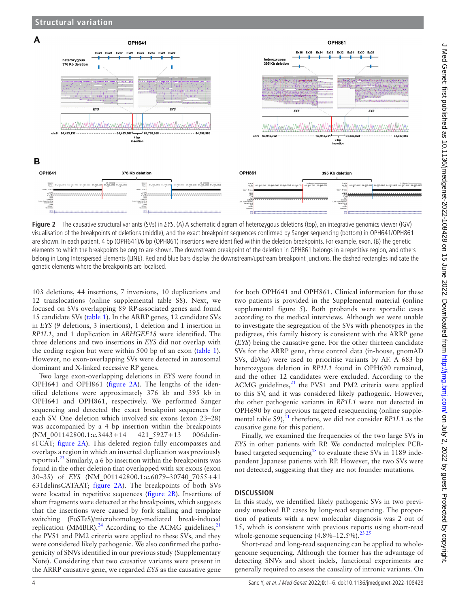

<span id="page-3-0"></span>**Figure 2** The causative structural variants (SVs) in EYS. (A) A schematic diagram of heterozygous deletions (top), an integrative genomics viewer (IGV) visualisation of the breakpoints of deletions (middle), and the exact breakpoint sequences confirmed by Sanger sequencing (bottom) in OPH641/OPH861 are shown. In each patient, 4 bp (OPH641)/6 bp (OPH861) insertions were identified within the deletion breakpoints. For example, exon. (B) The genetic elements to which the breakpoints belong to are shown. The downstream breakpoint of the deletion in OPH861 belongs in a repetitive region, and others belong in Long Interspersed Elements (LINE). Red and blue bars display the downstream/upstream breakpoint junctions. The dashed rectangles indicate the genetic elements where the breakpoints are localised.

103 deletions, 44 insertions, 7 inversions, 10 duplications and 12 translocations [\(online supplemental table S8](https://dx.doi.org/10.1136/jmedgenet-2022-108428)). Next, we focused on SVs overlapping 89 RP-associated genes and found 15 candidate SVs ([table](#page-2-0) 1). In the ARRP genes, 12 candidate SVs in *EYS* (9 deletions, 3 insertions), 1 deletion and 1 insertion in *RP1L1*, and 1 duplication in *ARHGEF18* were identified. The three deletions and two insertions in *EYS* did not overlap with the coding region but were within 500 bp of an exon ([table](#page-2-0) 1). However, no exon-overlapping SVs were detected in autosomal dominant and X-linked recessive RP genes.

Two large exon-overlapping deletions in *EYS* were found in OPH641 and OPH861 ([figure](#page-3-0) 2A). The lengths of the identified deletions were approximately 376 kb and 395 kb in OPH641 and OPH861, respectively. We performed Sanger sequencing and detected the exact breakpoint sequences for each SV. One deletion which involved six exons (exon 23–28) was accompanied by a 4 bp insertion within the breakpoints (NM\_001142800.1:c.3443+14 421\_5927+13 006delinsTCAT; [figure](#page-3-0) 2A). This deleted region fully encompasses and overlaps a region in which an inverted duplication was previously reported.[23](#page-5-6) Similarly, a 6 bp insertion within the breakpoints was found in the other deletion that overlapped with six exons (exon 30–35) of *EYS* (NM\_001142800.1:c.6079–30740\_7055+41 631delinsCATAAT; [figure](#page-3-0) 2A). The breakpoints of both SVs were located in repetitive sequences ([figure](#page-3-0) 2B). Insertions of short fragments were detected at the breakpoints, which suggests that the insertions were caused by fork stalling and template switching (FoSTeS)/microhomology-mediated break-induced replication (MMBIR).<sup>24</sup> According to the ACMG guidelines, $^{21}$  $^{21}$  $^{21}$ the PVS1 and PM2 criteria were applied to these SVs, and they were considered likely pathogenic. We also confirmed the pathogenicity of SNVs identified in our previous study (Supplementary Note). Considering that two causative variants were present in the ARRP causative gene, we regarded *EYS* as the causative gene

for both OPH641 and OPH861. Clinical information for these two patients is provided in the Supplemental material [\(online](https://dx.doi.org/10.1136/jmedgenet-2022-108428) [supplemental figure 5](https://dx.doi.org/10.1136/jmedgenet-2022-108428)). Both probands were sporadic cases according to the medical interviews. Although we were unable to investigate the segregation of the SVs with phenotypes in the pedigrees, this family history is consistent with the ARRP gene (*EYS*) being the causative gene. For the other thirteen candidate SVs for the ARRP gene, three control data (in-house, gnomAD SVs, dbVar) were used to prioritise variants by AF. A 683 bp heterozygous deletion in *RP1L1* found in OPH690 remained, and the other 12 candidates were excluded. According to the ACMG guidelines, $2<sup>1</sup>$  the PVS1 and PM2 criteria were applied to this SV, and it was considered likely pathogenic. However, the other pathogenic variants in *RP1L1* were not detected in OPH690 by our previous targeted resequencing [\(online supple](https://dx.doi.org/10.1136/jmedgenet-2022-108428)mental table  $S9$ <sup>11</sup>, therefore, we did not consider *RP1L1* as the causative gene for this patient.

Finally, we examined the frequencies of the two large SVs in *EYS* in other patients with RP. We conducted multiplex PCRbased targeted sequencing<sup>18</sup> to evaluate these SVs in 1189 independent Japanese patients with RP. However, the two SVs were not detected, suggesting that they are not founder mutations.

#### **DISCUSSION**

In this study, we identified likely pathogenic SVs in two previously unsolved RP cases by long-read sequencing. The proportion of patients with a new molecular diagnosis was 2 out of 15, which is consistent with previous reports using short-read whole-genome sequencing  $(4.8\% - 12.5\%)$ .<sup>23 25</sup>

Short-read and long-read sequencing can be applied to wholegenome sequencing. Although the former has the advantage of detecting SNVs and short indels, functional experiments are generally required to assess the causality of intronic variants. On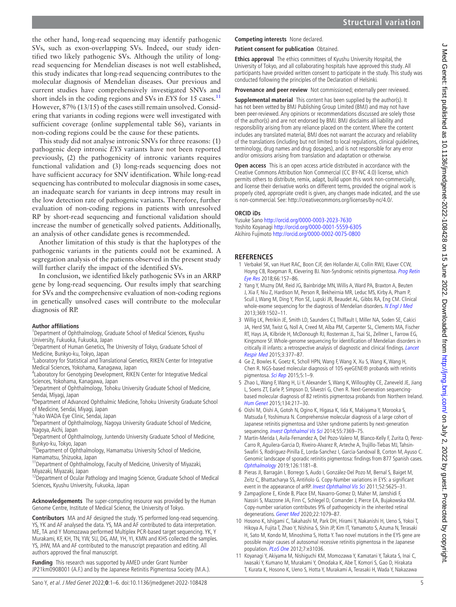the other hand, long-read sequencing may identify pathogenic SVs, such as exon-overlapping SVs. Indeed, our study identified two likely pathogenic SVs. Although the utility of longread sequencing for Mendelian diseases is not well established, this study indicates that long-read sequencing contributes to the molecular diagnosis of Mendelian diseases. Our previous and current studies have comprehensively investigated SNVs and short indels in the coding regions and SVs in *EYS* for 15 cases.<sup>[11](#page-4-3)</sup> However, 87% (13/15) of the cases still remain unsolved. Considering that variants in coding regions were well investigated with sufficient coverage [\(online supplemental table S6\)](https://dx.doi.org/10.1136/jmedgenet-2022-108428), variants in non-coding regions could be the cause for these patients.

This study did not analyse intronic SNVs for three reasons: (1) pathogenic deep intronic *EYS* variants have not been reported previously, (2) the pathogenicity of intronic variants requires functional validation and (3) long-reads sequencing does not have sufficient accuracy for SNV identification. While long-read sequencing has contributed to molecular diagnosis in some cases, an inadequate search for variants in deep introns may result in the low detection rate of pathogenic variants. Therefore, further evaluation of non-coding regions in patients with unresolved RP by short-read sequencing and functional validation should increase the number of genetically solved patients. Additionally, an analysis of other candidate genes is recommended.

Another limitation of this study is that the haplotypes of the pathogenic variants in the patients could not be examined. A segregation analysis of the patients observed in the present study will further clarify the impact of the identified SVs.

In conclusion, we identified likely pathogenic SVs in an ARRP gene by long-read sequencing. Our results imply that searching for SVs and the comprehensive evaluation of non-coding regions in genetically unsolved cases will contribute to the molecular diagnosis of RP.

## **Author affiliations**

<sup>1</sup>Department of Ophthalmology, Graduate School of Medical Sciences, Kyushu University, Fukuoka, Fukuoka, Japan

- <sup>2</sup> Department of Human Genetics, The University of Tokyo, Graduate School of Medicine, Bunkyo-ku, Tokyo, Japan <sup>3</sup>
- <sup>3</sup>Laboratory for Statistical and Translational Genetics, RIKEN Center for Integrative Medical Sciences, Yokohama, Kanagawa, Japan
- <sup>4</sup>Laboratory for Genotyping Development, RIKEN Center for Integrative Medical Sciences, Yokohama, Kanagawa, Japan
- <sup>5</sup>Department of Ophthalmology, Tohoku University Graduate School of Medicine, Sendai, Miyagi, Japan
- 6 Department of Advanced Ophthalmic Medicine, Tohoku University Graduate School of Medicine, Sendai, Miyagi, Japan
- 7 Yuko WADA Eye Clinic, Sendai, Japan
- <sup>8</sup>Department of Ophthalmology, Nagoya University Graduate School of Medicine, Nagoya, Aichi, Japan
- <sup>9</sup>Department of Ophthalmology, Juntendo University Graduate School of Medicine, Bunkyo-ku, Tokyo, Japan<br><sup>10</sup>Department of Ophthalmology, Hamamatsu University School of Medicine,
- Hamamatsu, Shizuoka, Japan
- <sup>11</sup> Department of Ophthalmology, Faculty of Medicine, University of Miyazaki, Miyazaki, Miyazaki, Japan
- <sup>12</sup>Department of Ocular Pathology and Imaging Science, Graduate School of Medical Sciences, Kyushu University, Fukuoka, Japan

**Acknowledgements** The super-computing resource was provided by the Human Genome Centre, Institute of Medical Science, the University of Tokyo.

**Contributors** MA and AF designed the study. YS performed long-read sequencing. YS, YK and AF analysed the data. YS, MA and AF contributed to data interpretation. ME, TA and Y Momozawa performed Multiplex PCR-based target sequencing. YK, Y Murakami, KF, KH, TN, YW, SU, DG, AM, YH, YI, KMN and KHS collected the samples. YS, JHW, MA and AF contributed to the manuscript preparation and editing. All authors approved the final manuscript.

**Funding** This research was supported by AMED under Grant Number JP21km0908001 (A.F.) and by the Japanese Retinitis Pigmentosa Society (M.A.).

#### **Competing interests** None declared.

**Patient consent for publication** Obtained.

**Ethics approval** The ethics committees of Kyushu University Hospital, the University of Tokyo, and all collaborating hospitals have approved this study. All participants have provided written consent to participate in the study. This study was conducted following the principles of the Declaration of Helsinki.

**Provenance and peer review** Not commissioned; externally peer reviewed.

**Supplemental material** This content has been supplied by the author(s). It has not been vetted by BMJ Publishing Group Limited (BMJ) and may not have been peer-reviewed. Any opinions or recommendations discussed are solely those of the author(s) and are not endorsed by BMJ. BMJ disclaims all liability and responsibility arising from any reliance placed on the content. Where the content includes any translated material, BMJ does not warrant the accuracy and reliability of the translations (including but not limited to local regulations, clinical guidelines, terminology, drug names and drug dosages), and is not responsible for any error and/or omissions arising from translation and adaptation or otherwise.

**Open access** This is an open access article distributed in accordance with the Creative Commons Attribution Non Commercial (CC BY-NC 4.0) license, which permits others to distribute, remix, adapt, build upon this work non-commercially, and license their derivative works on different terms, provided the original work is properly cited, appropriate credit is given, any changes made indicated, and the use is non-commercial. See: [http://creativecommons.org/licenses/by-nc/4.0/.](http://creativecommons.org/licenses/by-nc/4.0/)

#### **ORCID iDs**

Yusuke Sano<http://orcid.org/0000-0003-2023-7630> Yoshito Koyanagi<http://orcid.org/0000-0001-5559-6305> Akihiro Fujimoto <http://orcid.org/0000-0002-0075-0800>

# **REFERENCES**

- <span id="page-4-0"></span>1 Verbakel SK, van Huet RAC, Boon CJF, den Hollander AI, Collin RWJ, Klaver CCW, Hoyng CB, Roepman R, Klevering BJ. Non-Syndromic retinitis pigmentosa. Prog Retin [Eye Res](http://dx.doi.org/10.1016/j.preteyeres.2018.03.005) 2018;66:157–86.
- <span id="page-4-1"></span>2 Yang Y, Muzny DM, Reid JG, Bainbridge MN, Willis A, Ward PA, Braxton A, Beuten J, Xia F, Niu Z, Hardison M, Person R, Bekheirnia MR, Leduc MS, Kirby A, Pham P, Scull J, Wang M, Ding Y, Plon SE, Lupski JR, Beaudet AL, Gibbs RA, Eng CM. Clinical whole-exome sequencing for the diagnosis of Mendelian disorders. [N Engl J Med](http://dx.doi.org/10.1056/NEJMoa1306555) 2013;369:1502–11.
- 3 Willig LK, Petrikin JE, Smith LD, Saunders CJ, Thiffault I, Miller NA, Soden SE, Cakici JA, Herd SM, Twist G, Noll A, Creed M, Alba PM, Carpenter SL, Clements MA, Fischer RT, Hays JA, Kilbride H, McDonough RJ, Rosterman JL, Tsai SL, Zellmer L, Farrow EG, Kingsmore SF. Whole-genome sequencing for identification of Mendelian disorders in critically ill infants: a retrospective analysis of diagnostic and clinical findings. [Lancet](http://dx.doi.org/10.1016/S2213-2600(15)00139-3)  [Respir Med](http://dx.doi.org/10.1016/S2213-2600(15)00139-3) 2015;3:377–87.
- 4 Ge Z, Bowles K, Goetz K, Scholl HPN, Wang F, Wang X, Xu S, Wang K, Wang H, Chen R. NGS-based molecular diagnosis of 105 eyeGENE® probands with retinitis pigmentosa. [Sci Rep](http://dx.doi.org/10.1038/srep18287) 2015;5:1-9.
- 5 Zhao L, Wang F, Wang H, Li Y, Alexander S, Wang K, Willoughby CE, Zaneveld JE, Jiang L, Soens ZT, Earle P, Simpson D, Silvestri G, Chen R. Next-Generation sequencingbased molecular diagnosis of 82 retinitis pigmentosa probands from Northern Ireland. [Hum Genet](http://dx.doi.org/10.1007/s00439-014-1512-7) 2015;134:217–30.
- <span id="page-4-2"></span>6 Oishi M, Oishi A, Gotoh N, Ogino K, Higasa K, Iida K, Makiyama Y, Morooka S, Matsuda F, Yoshimura N. Comprehensive molecular diagnosis of a large cohort of Japanese retinitis pigmentosa and Usher syndrome patients by next-generation sequencing. [Invest Ophthalmol Vis Sci](http://dx.doi.org/10.1167/iovs.14-15458) 2014;55:7369–75.
- 7 Martin-Merida I, Avila-Fernandez A, Del Pozo-Valero M, Blanco-Kelly F, Zurita O, Perez-Carro R, Aguilera-Garcia D, Riveiro-Alvarez R, Arteche A, Trujillo-Tiebas MJ, Tahsin-Swafiri S, Rodriguez-Pinilla E, Lorda-Sanchez I, Garcia-Sandoval B, Corton M, Ayuso C. Genomic landscape of sporadic retinitis pigmentosa: findings from 877 Spanish cases. [Ophthalmology](http://dx.doi.org/10.1016/j.ophtha.2019.03.018) 2019;126:1181–8.
- 8 Pieras JI, Barragán I, Borrego S, Audo I, González-Del Pozo M, Bernal S, Baiget M, Zeitz C, Bhattacharya SS, Antiñolo G. Copy-Number variations in EYS: a significant event in the appearance of arRP. [Invest Ophthalmol Vis Sci](http://dx.doi.org/10.1167/iovs.11-7292) 2011;52:5625-31.
- <span id="page-4-4"></span>9 Zampaglione E, Kinde B, Place EM, Navarro-Gomez D, Maher M, Jamshidi F, Nassiri S, Mazzone JA, Finn C, Schlegel D, Comander J, Pierce EA, Bujakowska KM. Copy-number variation contributes 9% of pathogenicity in the inherited retinal degenerations. [Genet Med](http://dx.doi.org/10.1038/s41436-020-0759-8) 2020;22:1079–87.
- 10 Hosono K, Ishigami C, Takahashi M, Park DH, Hirami Y, Nakanishi H, Ueno S, Yokoi T, Hikoya A, Fujita T, Zhao Y, Nishina S, Shin JP, Kim IT, Yamamoto S, Azuma N, Terasaki H, Sato M, Kondo M, Minoshima S, Hotta Y. Two novel mutations in the EYS gene are possible major causes of autosomal recessive retinitis pigmentosa in the Japanese population. [PLoS One](http://dx.doi.org/10.1371/journal.pone.0031036) 2012;7:e31036.
- <span id="page-4-3"></span>11 Koyanagi Y, Akiyama M, Nishiguchi KM, Momozawa Y, Kamatani Y, Takata S, Inai C, Iwasaki Y, Kumano M, Murakami Y, Omodaka K, Abe T, Komori S, Gao D, Hirakata T, Kurata K, Hosono K, Ueno S, Hotta Y, Murakami A, Terasaki H, Wada Y, Nakazawa